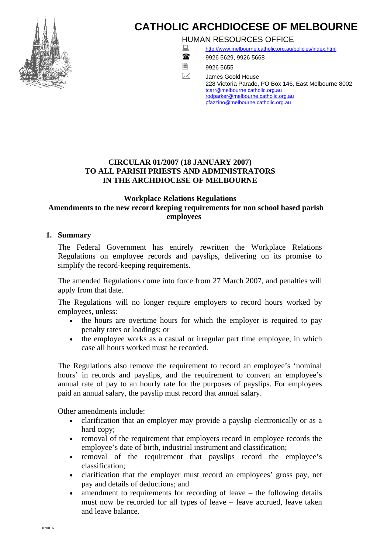

# **CATHOLIC ARCHDIOCESE OF MELBOURNE**

HUMAN RESOURCES OFFICE



<http://www.melbourne.catholic.org.au/policies/index.html> 9926 5629, 9926 5668

■9926 5655

 $\boxtimes$  James Goold House 228 Victoria Parade, PO Box 146, East Melbourne 8002 [tcarr@melbourne.catholic.org.au](mailto:tcarr@melbourne.catholic.org.au) [rodparker@melbourne.catholic.org.au](mailto:rodparker@melbourne.catholic.org.au) [pfazzino@melbourne.catholic.org.au](mailto:pfazzino@melbourne.catholic.org.au)

# **CIRCULAR 01/2007 (18 JANUARY 2007) TO ALL PARISH PRIESTS AND ADMINISTRATORS IN THE ARCHDIOCESE OF MELBOURNE**

## **Workplace Relations Regulations Amendments to the new record keeping requirements for non school based parish employees**

# **1. Summary**

The Federal Government has entirely rewritten the Workplace Relations Regulations on employee records and payslips, delivering on its promise to simplify the record-keeping requirements.

The amended Regulations come into force from 27 March 2007, and penalties will apply from that date.

The Regulations will no longer require employers to record hours worked by employees, unless:

- the hours are overtime hours for which the employer is required to pay penalty rates or loadings; or
- the employee works as a casual or irregular part time employee, in which case all hours worked must be recorded.

The Regulations also remove the requirement to record an employee's 'nominal hours' in records and payslips, and the requirement to convert an employee's annual rate of pay to an hourly rate for the purposes of payslips. For employees paid an annual salary, the payslip must record that annual salary.

Other amendments include:

- clarification that an employer may provide a payslip electronically or as a hard copy;
- removal of the requirement that employers record in employee records the employee's date of birth, industrial instrument and classification;
- removal of the requirement that payslips record the employee's classification;
- clarification that the employer must record an employees' gross pay, net pay and details of deductions; and
- amendment to requirements for recording of leave the following details must now be recorded for all types of leave – leave accrued, leave taken and leave balance.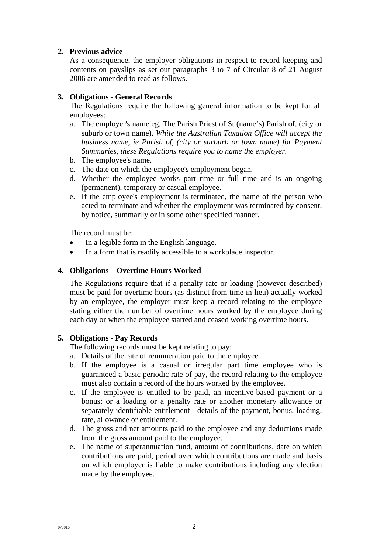## **2. Previous advice**

As a consequence, the employer obligations in respect to record keeping and contents on payslips as set out paragraphs 3 to 7 of Circular 8 of 21 August 2006 are amended to read as follows.

## **3. Obligations - General Records**

The Regulations require the following general information to be kept for all employees:

- a. The employer's name eg, The Parish Priest of St (name's) Parish of, (city or suburb or town name). *While the Australian Taxation Office will accept the business name, ie Parish of, (city or surburb or town name) for Payment Summaries, these Regulations require you to name the employer.*
- b. The employee's name.
- c. The date on which the employee's employment began.
- d. Whether the employee works part time or full time and is an ongoing (permanent), temporary or casual employee.
- e. If the employee's employment is terminated, the name of the person who acted to terminate and whether the employment was terminated by consent, by notice, summarily or in some other specified manner.

The record must be:

- In a legible form in the English language.
- In a form that is readily accessible to a workplace inspector.

#### **4. Obligations – Overtime Hours Worked**

The Regulations require that if a penalty rate or loading (however described) must be paid for overtime hours (as distinct from time in lieu) actually worked by an employee, the employer must keep a record relating to the employee stating either the number of overtime hours worked by the employee during each day or when the employee started and ceased working overtime hours.

#### **5. Obligations - Pay Records**

The following records must be kept relating to pay:

- a. Details of the rate of remuneration paid to the employee.
- b. If the employee is a casual or irregular part time employee who is guaranteed a basic periodic rate of pay, the record relating to the employee must also contain a record of the hours worked by the employee.
- c. If the employee is entitled to be paid, an incentive-based payment or a bonus; or a loading or a penalty rate or another monetary allowance or separately identifiable entitlement - details of the payment, bonus, loading, rate, allowance or entitlement.
- d. The gross and net amounts paid to the employee and any deductions made from the gross amount paid to the employee.
- e. The name of superannuation fund, amount of contributions, date on which contributions are paid, period over which contributions are made and basis on which employer is liable to make contributions including any election made by the employee.